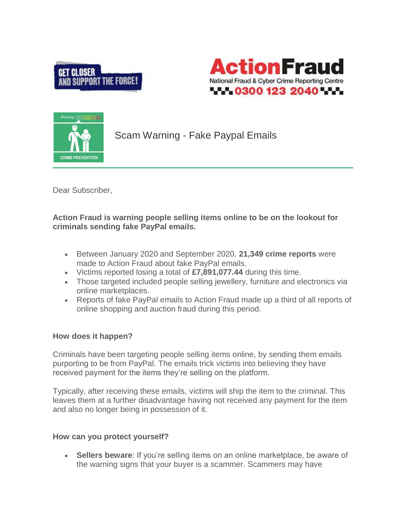





Scam Warning - Fake Paypal Emails

Dear Subscriber,

**Action Fraud is warning people selling items online to be on the lookout for criminals sending fake PayPal emails.**

- Between January 2020 and September 2020, **21,349 crime reports** were made to Action Fraud about fake PayPal emails.
- Victims reported losing a total of **£7,891,077.44** during this time.
- Those targeted included people selling jewellery, furniture and electronics via online marketplaces.
- Reports of fake PayPal emails to Action Fraud made up a third of all reports of online shopping and auction fraud during this period.

## **How does it happen?**

Criminals have been targeting people selling items online, by sending them emails purporting to be from PayPal. The emails trick victims into believing they have received payment for the items they're selling on the platform.

Typically, after receiving these emails, victims will ship the item to the criminal. This leaves them at a further disadvantage having not received any payment for the item and also no longer being in possession of it.

## **How can you protect yourself?**

 **Sellers beware**: If you're selling items on an online marketplace, be aware of the warning signs that your buyer is a scammer. Scammers may have